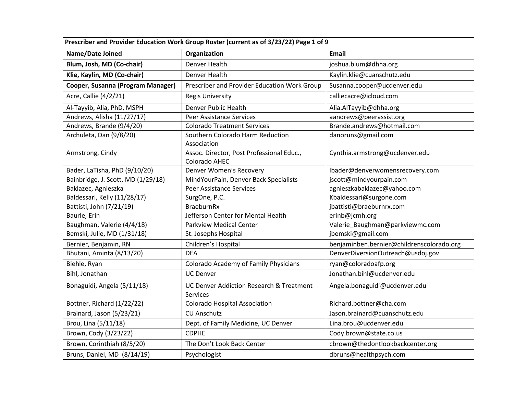| Prescriber and Provider Education Work Group Roster (current as of 3/23/22) Page 1 of 9 |                                                                 |                                           |  |
|-----------------------------------------------------------------------------------------|-----------------------------------------------------------------|-------------------------------------------|--|
| Name/Date Joined                                                                        | Organization                                                    | <b>Email</b>                              |  |
| Blum, Josh, MD (Co-chair)                                                               | Denver Health                                                   | joshua.blum@dhha.org                      |  |
| Klie, Kaylin, MD (Co-chair)                                                             | Denver Health                                                   | Kaylin.klie@cuanschutz.edu                |  |
| Cooper, Susanna (Program Manager)                                                       | Prescriber and Provider Education Work Group                    | Susanna.cooper@ucdenver.edu               |  |
| Acre, Callie (4/2/21)                                                                   | <b>Regis University</b>                                         | calliecacre@icloud.com                    |  |
| Al-Tayyib, Alia, PhD, MSPH                                                              | Denver Public Health                                            | Alia.AlTayyib@dhha.org                    |  |
| Andrews, Alisha (11/27/17)                                                              | <b>Peer Assistance Services</b>                                 | aandrews@peerassist.org                   |  |
| Andrews, Brande (9/4/20)                                                                | <b>Colorado Treatment Services</b>                              | Brande.andrews@hotmail.com                |  |
| Archuleta, Dan (9/8/20)                                                                 | Southern Colorado Harm Reduction                                | danoruns@gmail.com                        |  |
|                                                                                         | Association                                                     |                                           |  |
| Armstrong, Cindy                                                                        | Assoc. Director, Post Professional Educ.,                       | Cynthia.armstrong@ucdenver.edu            |  |
|                                                                                         | Colorado AHEC                                                   |                                           |  |
| Bader, LaTisha, PhD (9/10/20)                                                           | Denver Women's Recovery                                         | lbader@denverwomensrecovery.com           |  |
| Bainbridge, J. Scott, MD (1/29/18)                                                      | MindYourPain, Denver Back Specialists                           | jscott@mindyourpain.com                   |  |
| Baklazec, Agnieszka                                                                     | <b>Peer Assistance Services</b>                                 | agnieszkabaklazec@yahoo.com               |  |
| Baldessari, Kelly (11/28/17)                                                            | SurgOne, P.C.                                                   | Kbaldessari@surgone.com                   |  |
| Battisti, John (7/21/19)                                                                | <b>BraeburnRx</b>                                               | jbattisti@braeburnrx.com                  |  |
| Baurle, Erin                                                                            | Jefferson Center for Mental Health                              | erinb@jcmh.org                            |  |
| Baughman, Valerie (4/4/18)                                                              | <b>Parkview Medical Center</b>                                  | Valerie_Baughman@parkviewmc.com           |  |
| Bemski, Julie, MD (1/31/18)                                                             | St. Josephs Hospital                                            | jbemski@gmail.com                         |  |
| Bernier, Benjamin, RN                                                                   | Children's Hospital                                             | benjaminben.bernier@childrenscolorado.org |  |
| Bhutani, Aminta (8/13/20)                                                               | <b>DEA</b>                                                      | DenverDiversionOutreach@usdoj.gov         |  |
| Biehle, Ryan                                                                            | Colorado Academy of Family Physicians                           | ryan@coloradoafp.org                      |  |
| Bihl, Jonathan                                                                          | <b>UC Denver</b>                                                | Jonathan.bihl@ucdenver.edu                |  |
| Bonaguidi, Angela (5/11/18)                                                             | <b>UC Denver Addiction Research &amp; Treatment</b><br>Services | Angela.bonaguidi@ucdenver.edu             |  |
| Bottner, Richard (1/22/22)                                                              | <b>Colorado Hospital Association</b>                            | Richard.bottner@cha.com                   |  |
| Brainard, Jason (5/23/21)                                                               | <b>CU Anschutz</b>                                              | Jason.brainard@cuanschutz.edu             |  |
| Brou, Lina (5/11/18)                                                                    | Dept. of Family Medicine, UC Denver                             | Lina.brou@ucdenver.edu                    |  |
| Brown, Cody (3/23/22)                                                                   | <b>CDPHE</b>                                                    | Cody.brown@state.co.us                    |  |
| Brown, Corinthiah (8/5/20)                                                              | The Don't Look Back Center                                      | cbrown@thedontlookbackcenter.org          |  |
| Bruns, Daniel, MD (8/14/19)                                                             | Psychologist                                                    | dbruns@healthpsych.com                    |  |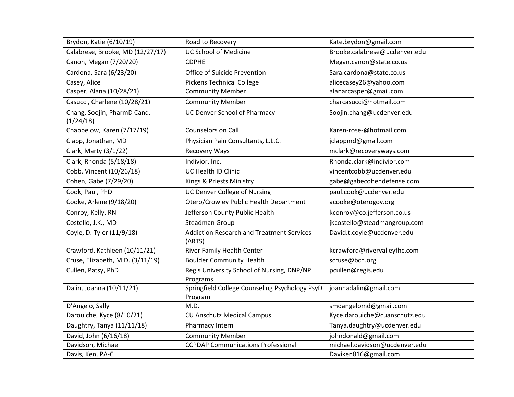| Brydon, Katie (6/10/19)                  | Road to Recovery                                           | Kate.brydon@gmail.com         |
|------------------------------------------|------------------------------------------------------------|-------------------------------|
| Calabrese, Brooke, MD (12/27/17)         | <b>UC School of Medicine</b>                               | Brooke.calabrese@ucdenver.edu |
| Canon, Megan (7/20/20)                   | <b>CDPHE</b>                                               | Megan.canon@state.co.us       |
| Cardona, Sara (6/23/20)                  | <b>Office of Suicide Prevention</b>                        | Sara.cardona@state.co.us      |
| Casey, Alice                             | <b>Pickens Technical College</b>                           | alicecasey26@yahoo.com        |
| Casper, Alana (10/28/21)                 | <b>Community Member</b>                                    | alanarcasper@gmail.com        |
| Casucci, Charlene (10/28/21)             | <b>Community Member</b>                                    | charcasucci@hotmail.com       |
| Chang, Soojin, PharmD Cand.<br>(1/24/18) | <b>UC Denver School of Pharmacy</b>                        | Soojin.chang@ucdenver.edu     |
| Chappelow, Karen (7/17/19)               | Counselors on Call                                         | Karen-rose-@hotmail.com       |
| Clapp, Jonathan, MD                      | Physician Pain Consultants, L.L.C.                         | jclappmd@gmail.com            |
| Clark, Marty (3/1/22)                    | Recovery Ways                                              | mclark@recoveryways.com       |
| Clark, Rhonda (5/18/18)                  | Indivior, Inc.                                             | Rhonda.clark@indivior.com     |
| Cobb, Vincent (10/26/18)                 | UC Health ID Clinic                                        | vincentcobb@ucdenver.edu      |
| Cohen, Gabe (7/29/20)                    | Kings & Priests Ministry                                   | gabe@gabecohendefense.com     |
| Cook, Paul, PhD                          | <b>UC Denver College of Nursing</b>                        | paul.cook@ucdenver.edu        |
| Cooke, Arlene (9/18/20)                  | Otero/Crowley Public Health Department                     | acooke@oterogov.org           |
| Conroy, Kelly, RN                        | Jefferson County Public Health                             | kconroy@co.jefferson.co.us    |
| Costello, J.K., MD                       | <b>Steadman Group</b>                                      | jkcostello@steadmangroup.com  |
| Coyle, D. Tyler (11/9/18)                | <b>Addiction Research and Treatment Services</b><br>(ARTS) | David.t.coyle@ucdenver.edu    |
| Crawford, Kathleen (10/11/21)            | <b>River Family Health Center</b>                          | kcrawford@rivervalleyfhc.com  |
| Cruse, Elizabeth, M.D. (3/11/19)         | <b>Boulder Community Health</b>                            | scruse@bch.org                |
| Cullen, Patsy, PhD                       | Regis University School of Nursing, DNP/NP<br>Programs     | pcullen@regis.edu             |
| Dalin, Joanna (10/11/21)                 | Springfield College Counseling Psychology PsyD<br>Program  | joannadalin@gmail.com         |
| D'Angelo, Sally                          | M.D.                                                       | smdangelomd@gmail.com         |
| Darouiche, Kyce (8/10/21)                | <b>CU Anschutz Medical Campus</b>                          | Kyce.darouiche@cuanschutz.edu |
| Daughtry, Tanya (11/11/18)               | Pharmacy Intern                                            | Tanya.daughtry@ucdenver.edu   |
| David, John (6/16/18)                    | <b>Community Member</b>                                    | johndonald@gmail.com          |
| Davidson, Michael                        | <b>CCPDAP Communications Professional</b>                  | michael.davidson@ucdenver.edu |
| Davis, Ken, PA-C                         |                                                            | Daviken816@gmail.com          |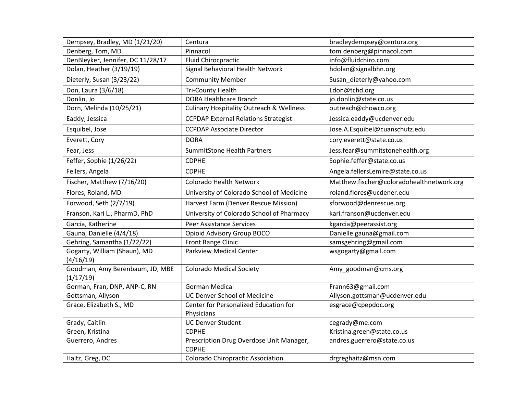| Dempsey, Bradley, MD (1/21/20)               | Centura                                                  | bradleydempsey@centura.org                |
|----------------------------------------------|----------------------------------------------------------|-------------------------------------------|
| Denberg, Tom, MD                             | Pinnacol                                                 | tom.denberg@pinnacol.com                  |
| DenBleyker, Jennifer, DC 11/28/17            | <b>Fluid Chirocpractic</b>                               | info@fluidchiro.com                       |
| Dolan, Heather (3/19/19)                     | Signal Behavioral Health Network                         | hdolan@signalbhn.org                      |
| Dieterly, Susan (3/23/22)                    | <b>Community Member</b>                                  | Susan_dieterly@yahoo.com                  |
| Don, Laura (3/6/18)                          | <b>Tri-County Health</b>                                 | Ldon@tchd.org                             |
| Donlin, Jo                                   | <b>DORA Healthcare Branch</b>                            | jo.donlin@state.co.us                     |
| Dorn, Melinda (10/25/21)                     | <b>Culinary Hospitality Outreach &amp; Wellness</b>      | outreach@chowco.org                       |
| Eaddy, Jessica                               | <b>CCPDAP External Relations Strategist</b>              | Jessica.eaddy@ucdenver.edu                |
| Esquibel, Jose                               | <b>CCPDAP Associate Director</b>                         | Jose.A.Esquibel@cuanschutz.edu            |
| Everett, Cory                                | <b>DORA</b>                                              | cory.everett@state.co.us                  |
| Fear, Jess                                   | <b>SummitStone Health Partners</b>                       | Jess.fear@summitstonehealth.org           |
| Feffer, Sophie (1/26/22)                     | <b>CDPHE</b>                                             | Sophie.feffer@state.co.us                 |
| Fellers, Angela                              | <b>CDPHE</b>                                             | Angela.fellersLemire@state.co.us          |
| Fischer, Matthew (7/16/20)                   | Colorado Health Network                                  | Matthew.fischer@coloradohealthnetwork.org |
| Flores, Roland, MD                           | University of Colorado School of Medicine                | roland.flores@ucdener.edu                 |
| Forwood, Seth (2/7/19)                       | Harvest Farm (Denver Rescue Mission)                     | sforwood@denrescue.org                    |
| Franson, Kari L., PharmD, PhD                | University of Colorado School of Pharmacy                | kari.franson@ucdenver.edu                 |
| Garcia, Katherine                            | <b>Peer Assistance Services</b>                          | kgarcia@peerassist.org                    |
| Gauna, Danielle (4/4/18)                     | Opioid Advisory Group BOCO                               | Danielle.gauna@gmail.com                  |
| Gehring, Samantha (1/22/22)                  | <b>Front Range Clinic</b>                                | samsgehring@gmail.com                     |
| Gogarty, William (Shaun), MD<br>(4/16/19)    | <b>Parkview Medical Center</b>                           | wsgogarty@gmail.com                       |
| Goodman, Amy Berenbaum, JD, MBE<br>(1/17/19) | <b>Colorado Medical Society</b>                          | Amy_goodman@cms.org                       |
| Gorman, Fran, DNP, ANP-C, RN                 | <b>Gorman Medical</b>                                    | Frann63@gmail.com                         |
| Gottsman, Allyson                            | <b>UC Denver School of Medicine</b>                      | Allyson.gottsman@ucdenver.edu             |
| Grace, Elizabeth S., MD                      | Center for Personalized Education for                    | esgrace@cpepdoc.org                       |
|                                              | Physicians                                               |                                           |
| Grady, Caitlin                               | <b>UC Denver Student</b>                                 | cegrady@me.com                            |
| Green, Kristina                              | <b>CDPHE</b>                                             | Kristina.green@state.co.us                |
| Guerrero, Andres                             | Prescription Drug Overdose Unit Manager,<br><b>CDPHE</b> | andres.guerrero@state.co.us               |
| Haitz, Greg, DC                              | <b>Colorado Chiropractic Association</b>                 | drgreghaitz@msn.com                       |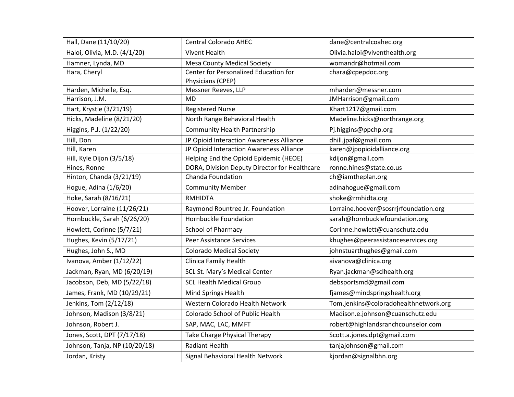| Hall, Dane (11/10/20)         | <b>Central Colorado AHEC</b>                               | dane@centralcoahec.org                |
|-------------------------------|------------------------------------------------------------|---------------------------------------|
| Haloi, Olivia, M.D. (4/1/20)  | <b>Vivent Health</b>                                       | Olivia.haloi@viventhealth.org         |
| Hamner, Lynda, MD             | <b>Mesa County Medical Society</b>                         | womandr@hotmail.com                   |
| Hara, Cheryl                  | Center for Personalized Education for<br>Physicians (CPEP) | chara@cpepdoc.org                     |
| Harden, Michelle, Esq.        | Messner Reeves, LLP                                        | mharden@messner.com                   |
| Harrison, J.M.                | <b>MD</b>                                                  | JMHarrison@gmail.com                  |
| Hart, Krystle (3/21/19)       | <b>Registered Nurse</b>                                    | Khart1217@gmail.com                   |
| Hicks, Madeline (8/21/20)     | North Range Behavioral Health                              | Madeline.hicks@northrange.org         |
| Higgins, P.J. (1/22/20)       | <b>Community Health Partnership</b>                        | Pj.higgins@ppchp.org                  |
| Hill, Don                     | JP Opioid Interaction Awareness Alliance                   | dhill.jpaf@gmail.com                  |
| Hill, Karen                   | JP Opioid Interaction Awareness Alliance                   | karen@jpopioidalliance.org            |
| Hill, Kyle Dijon (3/5/18)     | Helping End the Opioid Epidemic (HEOE)                     | kdijon@gmail.com                      |
| Hines, Ronne                  | DORA, Division Deputy Director for Healthcare              | ronne.hines@state.co.us               |
| Hinton, Chanda (3/21/19)      | Chanda Foundation                                          | ch@iamtheplan.org                     |
| Hogue, Adina (1/6/20)         | <b>Community Member</b>                                    | adinahogue@gmail.com                  |
| Hoke, Sarah (8/16/21)         | <b>RMHIDTA</b>                                             | shoke@rmhidta.org                     |
| Hoover, Lorraine (11/26/21)   | Raymond Rountree Jr. Foundation                            | Lorraine.hoover@sosrrjrfoundation.org |
| Hornbuckle, Sarah (6/26/20)   | Hornbuckle Foundation                                      | sarah@hornbucklefoundation.org        |
| Howlett, Corinne (5/7/21)     | <b>School of Pharmacy</b>                                  | Corinne.howlett@cuanschutz.edu        |
| Hughes, Kevin (5/17/21)       | <b>Peer Assistance Services</b>                            | khughes@peerassistanceservices.org    |
| Hughes, John S., MD           | <b>Colorado Medical Society</b>                            | johnstuarthughes@gmail.com            |
| Ivanova, Amber (1/12/22)      | Clinica Family Health                                      | aivanova@clinica.org                  |
| Jackman, Ryan, MD (6/20/19)   | SCL St. Mary's Medical Center                              | Ryan.jackman@sclhealth.org            |
| Jacobson, Deb, MD (5/22/18)   | <b>SCL Health Medical Group</b>                            | debsportsmd@gmail.com                 |
| James, Frank, MD (10/29/21)   | Mind Springs Health                                        | fjames@mindspringshealth.org          |
| Jenkins, Tom (2/12/18)        | Western Colorado Health Network                            | Tom.jenkins@coloradohealthnetwork.org |
| Johnson, Madison (3/8/21)     | Colorado School of Public Health                           | Madison.e.johnson@cuanschutz.edu      |
| Johnson, Robert J.            | SAP, MAC, LAC, MMFT                                        | robert@highlandsranchcounselor.com    |
| Jones, Scott, DPT (7/17/18)   | Take Charge Physical Therapy                               | Scott.a.jones.dpt@gmail.com           |
| Johnson, Tanja, NP (10/20/18) | <b>Radiant Health</b>                                      | tanjajohnson@gmail.com                |
| Jordan, Kristy                | Signal Behavioral Health Network                           | kjordan@signalbhn.org                 |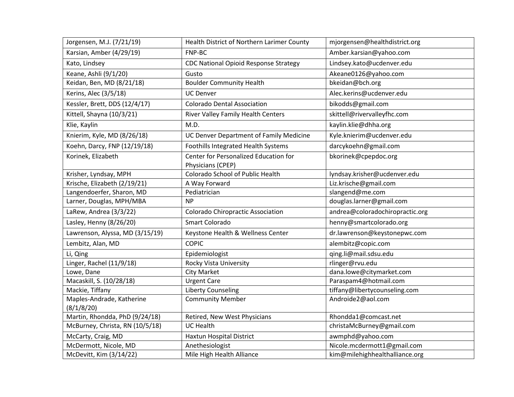| Jorgensen, M.J. (7/21/19)       | Health District of Northern Larimer County   | mjorgensen@healthdistrict.org   |
|---------------------------------|----------------------------------------------|---------------------------------|
| Karsian, Amber (4/29/19)        | FNP-BC                                       | Amber.karsian@yahoo.com         |
| Kato, Lindsey                   | <b>CDC National Opioid Response Strategy</b> | Lindsey.kato@ucdenver.edu       |
| Keane, Ashli (9/1/20)           | Gusto                                        | Akeane0126@yahoo.com            |
| Keidan, Ben, MD (8/21/18)       | <b>Boulder Community Health</b>              | bkeidan@bch.org                 |
| Kerins, Alec (3/5/18)           | <b>UC Denver</b>                             | Alec.kerins@ucdenver.edu        |
| Kessler, Brett, DDS (12/4/17)   | <b>Colorado Dental Association</b>           | bikodds@gmail.com               |
| Kittell, Shayna (10/3/21)       | River Valley Family Health Centers           | skittell@rivervalleyfhc.com     |
| Klie, Kaylin                    | M.D.                                         | kaylin.klie@dhha.org            |
| Knierim, Kyle, MD (8/26/18)     | UC Denver Department of Family Medicine      | Kyle.knierim@ucdenver.edu       |
| Koehn, Darcy, FNP (12/19/18)    | Foothills Integrated Health Systems          | darcykoehn@gmail.com            |
| Korinek, Elizabeth              | Center for Personalized Education for        | bkorinek@cpepdoc.org            |
|                                 | Physicians (CPEP)                            |                                 |
| Krisher, Lyndsay, MPH           | Colorado School of Public Health             | lyndsay.krisher@ucdenver.edu    |
| Krische, Elizabeth (2/19/21)    | A Way Forward                                | Liz.krische@gmail.com           |
| Langendoerfer, Sharon, MD       | Pediatrician                                 | slangend@me.com                 |
| Larner, Douglas, MPH/MBA        | <b>NP</b>                                    | douglas.larner@gmail.com        |
| LaRew, Andrea (3/3/22)          | <b>Colorado Chiropractic Association</b>     | andrea@coloradochiropractic.org |
| Lasley, Henny (8/26/20)         | Smart Colorado                               | henny@smartcolorado.org         |
| Lawrenson, Alyssa, MD (3/15/19) | Keystone Health & Wellness Center            | dr.lawrenson@keystonepwc.com    |
| Lembitz, Alan, MD               | <b>COPIC</b>                                 | alembitz@copic.com              |
| Li, Qing                        | Epidemiologist                               | qing.li@mail.sdsu.edu           |
| Linger, Rachel (11/9/18)        | Rocky Vista University                       | rlinger@rvu.edu                 |
| Lowe, Dane                      | <b>City Market</b>                           | dana.lowe@citymarket.com        |
| Macaskill, S. (10/28/18)        | <b>Urgent Care</b>                           | Paraspam4@hotmail.com           |
| Mackie, Tiffany                 | <b>Liberty Counseling</b>                    | tiffany@libertycounseling.com   |
| Maples-Andrade, Katherine       | <b>Community Member</b>                      | Androide2@aol.com               |
| (8/1/8/20)                      |                                              |                                 |
| Martin, Rhondda, PhD (9/24/18)  | Retired, New West Physicians                 | Rhondda1@comcast.net            |
| McBurney, Christa, RN (10/5/18) | <b>UC Health</b>                             | christaMcBurney@gmail.com       |
| McCarty, Craig, MD              | Haxtun Hospital District                     | awmphd@yahoo.com                |
| McDermott, Nicole, MD           | Anethesiologist                              | Nicole.mcdermott1@gmail.com     |
| McDevitt, Kim (3/14/22)         | Mile High Health Alliance                    | kim@milehighhealthalliance.org  |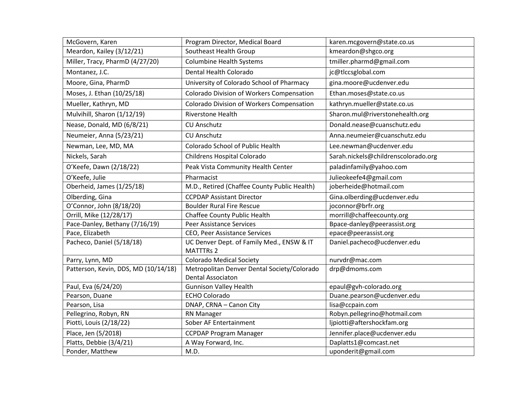| McGovern, Karen                      | Program Director, Medical Board                  | karen.mcgovern@state.co.us          |
|--------------------------------------|--------------------------------------------------|-------------------------------------|
| Meardon, Kailey (3/12/21)            | Southeast Health Group                           | kmeardon@shgco.org                  |
| Miller, Tracy, PharmD (4/27/20)      | <b>Columbine Health Systems</b>                  | tmiller.pharmd@gmail.com            |
| Montanez, J.C.                       | Dental Health Colorado                           | jc@tlccsglobal.com                  |
| Moore, Gina, PharmD                  | University of Colorado School of Pharmacy        | gina.moore@ucdenver.edu             |
| Moses, J. Ethan (10/25/18)           | Colorado Division of Workers Compensation        | Ethan.moses@state.co.us             |
| Mueller, Kathryn, MD                 | <b>Colorado Division of Workers Compensation</b> | kathryn.mueller@state.co.us         |
| Mulvihill, Sharon (1/12/19)          | Riverstone Health                                | Sharon.mul@riverstonehealth.org     |
| Nease, Donald, MD (6/8/21)           | <b>CU Anschutz</b>                               | Donald.nease@cuanschutz.edu         |
| Neumeier, Anna (5/23/21)             | <b>CU Anschutz</b>                               | Anna.neumeier@cuanschutz.edu        |
| Newman, Lee, MD, MA                  | Colorado School of Public Health                 | Lee.newman@ucdenver.edu             |
| Nickels, Sarah                       | Childrens Hospital Colorado                      | Sarah.nickels@childrenscolorado.org |
| O'Keefe, Dawn (2/18/22)              | Peak Vista Community Health Center               | paladinfamily@yahoo.com             |
| O'Keefe, Julie                       | Pharmacist                                       | Julieokeefe4@gmail.com              |
| Oberheid, James (1/25/18)            | M.D., Retired (Chaffee County Public Health)     | joberheide@hotmail.com              |
| Olberding, Gina                      | <b>CCPDAP Assistant Director</b>                 | Gina.olberding@ucdenver.edu         |
| O'Connor, John (8/18/20)             | <b>Boulder Rural Fire Rescue</b>                 | joconnor@brfr.org                   |
| Orrill, Mike (12/28/17)              | Chaffee County Public Health                     | morrill@chaffeecounty.org           |
| Pace-Danley, Bethany (7/16/19)       | <b>Peer Assistance Services</b>                  | Bpace-danley@peerassist.org         |
| Pace, Elizabeth                      | CEO, Peer Assistance Services                    | epace@peerassist.org                |
| Pacheco, Daniel (5/18/18)            | UC Denver Dept. of Family Med., ENSW & IT        | Daniel.pacheco@ucdenver.edu         |
|                                      | <b>MATTTRs 2</b>                                 |                                     |
| Parry, Lynn, MD                      | <b>Colorado Medical Society</b>                  | nurvdr@mac.com                      |
| Patterson, Kevin, DDS, MD (10/14/18) | Metropolitan Denver Dental Society/Colorado      | drp@dmoms.com                       |
|                                      | <b>Dental Associaton</b>                         |                                     |
| Paul, Eva (6/24/20)                  | <b>Gunnison Valley Health</b>                    | epaul@gvh-colorado.org              |
| Pearson, Duane                       | <b>ECHO Colorado</b>                             | Duane.pearson@ucdenver.edu          |
| Pearson, Lisa                        | DNAP, CRNA - Canon City                          | lisa@ccpain.com                     |
| Pellegrino, Robyn, RN                | <b>RN Manager</b>                                | Robyn.pellegrino@hotmail.com        |
| Piotti, Louis (2/18/22)              | Sober AF Entertainment                           | ljpiotti@aftershockfam.org          |
| Place, Jen (5/2018)                  | <b>CCPDAP Program Manager</b>                    | Jennifer.place@ucdenver.edu         |
| Platts, Debbie (3/4/21)              | A Way Forward, Inc.                              | Daplatts1@comcast.net               |
| Ponder, Matthew                      | M.D.                                             | uponderit@gmail.com                 |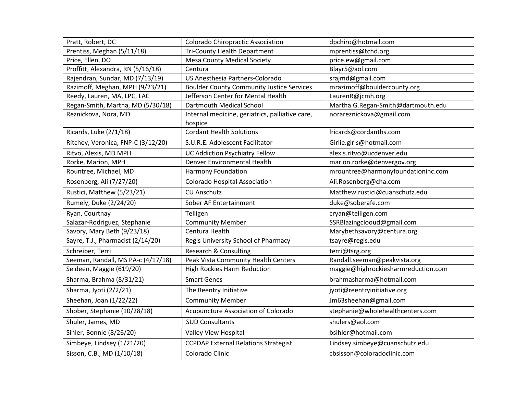| Pratt, Robert, DC                  | <b>Colorado Chiropractic Association</b>         | dpchiro@hotmail.com                 |
|------------------------------------|--------------------------------------------------|-------------------------------------|
| Prentiss, Meghan (5/11/18)         | <b>Tri-County Health Department</b>              | mprentiss@tchd.org                  |
| Price, Ellen, DO                   | <b>Mesa County Medical Society</b>               | price.ew@gmail.com                  |
| Proffitt, Alexandra, RN (5/16/18)  | Centura                                          | Blayr5@aol.com                      |
| Rajendran, Sundar, MD (7/13/19)    | US Anesthesia Partners-Colorado                  | srajmd@gmail.com                    |
| Razimoff, Meghan, MPH (9/23/21)    | <b>Boulder County Community Justice Services</b> | mrazimoff@bouldercounty.org         |
| Reedy, Lauren, MA, LPC, LAC        | Jefferson Center for Mental Health               | LaurenR@jcmh.org                    |
| Regan-Smith, Martha, MD (5/30/18)  | Dartmouth Medical School                         | Martha.G.Regan-Smith@dartmouth.edu  |
| Reznickova, Nora, MD               | Internal medicine, geriatrics, palliative care,  | norareznickova@gmail.com            |
|                                    | hospice                                          |                                     |
| Ricards, Luke (2/1/18)             | <b>Cordant Health Solutions</b>                  | Iricards@cordanths.com              |
| Ritchey, Veronica, FNP-C (3/12/20) | S.U.R.E. Adolescent Facilitator                  | Girlie.girls@hotmail.com            |
| Ritvo, Alexis, MD MPH              | <b>UC Addiction Psychiatry Fellow</b>            | alexis.ritvo@ucdenver.edu           |
| Rorke, Marion, MPH                 | Denver Environmental Health                      | marion.rorke@denvergov.org          |
| Rountree, Michael, MD              | Harmony Foundation                               | mrountree@harmonyfoundationinc.com  |
| Rosenberg, Ali (7/27/20)           | <b>Colorado Hospital Association</b>             | Ali.Rosenberg@cha.com               |
| Rustici, Matthew (5/23/21)         | <b>CU Anschutz</b>                               | Matthew.rustici@cuanschutz.edu      |
| Rumely, Duke (2/24/20)             | Sober AF Entertainment                           | duke@soberafe.com                   |
| Ryan, Courtnay                     | Telligen                                         | cryan@telligen.com                  |
| Salazar-Rodriguez, Stephanie       | <b>Community Member</b>                          | SSRBlazingclooud@gmail.com          |
| Savory, Mary Beth (9/23/18)        | Centura Health                                   | Marybethsavory@centura.org          |
| Sayre, T.J., Pharmacist (2/14/20)  | Regis University School of Pharmacy              | tsayre@regis.edu                    |
| Schreiber, Terri                   | Research & Consulting                            | terri@tsrg.org                      |
| Seeman, Randall, MS PA-c (4/17/18) | Peak Vista Community Health Centers              | Randall.seeman@peakvista.org        |
| Seldeen, Maggie (619/20)           | <b>High Rockies Harm Reduction</b>               | maggie@highrockiesharmreduction.com |
| Sharma, Brahma (8/31/21)           | <b>Smart Genes</b>                               | brahmasharma@hotmail.com            |
| Sharma, Jyoti (2/2/21)             | The Reentry Initiative                           | jyoti@reentryinitiative.org         |
| Sheehan, Joan (1/22/22)            | <b>Community Member</b>                          | Jm63sheehan@gmail.com               |
| Shober, Stephanie (10/28/18)       | Acupuncture Association of Colorado              | stephanie@wholehealthcenters.com    |
| Shuler, James, MD                  | <b>SUD Consultants</b>                           | shulers@aol.com                     |
| Sihler, Bonnie (8/26/20)           | Valley View Hospital                             | bsihler@hotmail.com                 |
| Simbeye, Lindsey (1/21/20)         | <b>CCPDAP External Relations Strategist</b>      | Lindsey.simbeye@cuanschutz.edu      |
| Sisson, C.B., MD (1/10/18)         | Colorado Clinic                                  | cbsisson@coloradoclinic.com         |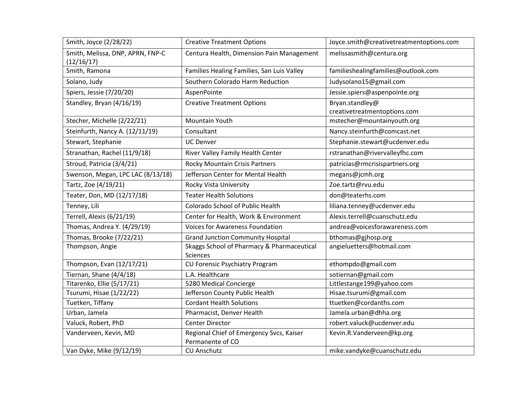| Smith, Joyce (2/28/22)                         | <b>Creative Treatment Options</b>                             | Joyce.smith@creativetreatmentoptions.com        |
|------------------------------------------------|---------------------------------------------------------------|-------------------------------------------------|
| Smith, Melissa, DNP, APRN, FNP-C<br>(12/16/17) | Centura Health, Dimension Pain Management                     | melissasmith@centura.org                        |
| Smith, Ramona                                  | Families Healing Families, San Luis Valley                    | familieshealingfamilies@outlook.com             |
| Solano, Judy                                   | Southern Colorado Harm Reduction                              | Judysolano15@gmail.com                          |
| Spiers, Jessie (7/20/20)                       | AspenPointe                                                   | Jessie.spiers@aspenpointe.org                   |
| Standley, Bryan (4/16/19)                      | <b>Creative Treatment Options</b>                             | Bryan.standley@<br>creativetreatmentoptions.com |
| Stecher, Michelle (2/22/21)                    | Mountain Youth                                                | mstecher@mountainyouth.org                      |
| Steinfurth, Nancy A. (12/11/19)                | Consultant                                                    | Nancy.steinfurth@comcast.net                    |
| Stewart, Stephanie                             | <b>UC Denver</b>                                              | Stephanie.stewart@ucdenver.edu                  |
| Stranathan, Rachel (11/9/18)                   | River Valley Family Health Center                             | rstranathan@rivervalleyfhc.com                  |
| Stroud, Patricia (3/4/21)                      | Rocky Mountain Crisis Partners                                | patricias@rmcrisispartners.org                  |
| Swenson, Megan, LPC LAC (8/13/18)              | Jefferson Center for Mental Health                            | megans@jcmh.org                                 |
| Tartz, Zoe (4/19/21)                           | Rocky Vista University                                        | Zoe.tartz@rvu.edu                               |
| Teater, Don, MD (12/17/18)                     | <b>Teater Health Solutions</b>                                | don@teaterhs.com                                |
| Tenney, Lili                                   | Colorado School of Public Health                              | liliana.tenney@ucdenver.edu                     |
| Terrell, Alexis (6/21/19)                      | Center for Health, Work & Environment                         | Alexis.terrell@cuanschutz.edu                   |
| Thomas, Andrea Y. (4/29/19)                    | <b>Voices for Awareness Foundation</b>                        | andrea@voicesforawareness.com                   |
| Thomas, Brooke (7/22/21)                       | <b>Grand Junction Community Hospital</b>                      | bthomas@gjhosp.org                              |
| Thompson, Angie                                | Skaggs School of Pharmacy & Pharmaceutical<br><b>Sciences</b> | angieluetters@hotmail.com                       |
| Thompson, Evan (12/17/21)                      | CU Forensic Psychiatry Program                                | ethompdo@gmail.com                              |
| Tiernan, Shane (4/4/18)                        | L.A. Healthcare                                               | sotiernan@gmail.com                             |
| Titarenko, Ellie (5/17/21)                     | 5280 Medical Concierge                                        | Littlestange199@yahoo.com                       |
| Tsurumi, Hisae (1/22/22)                       | Jefferson County Public Health                                | Hisae.tsurumi@gmail.com                         |
| Tuetken, Tiffany                               | <b>Cordant Health Solutions</b>                               | ttuetken@cordanths.com                          |
| Urban, Jamela                                  | Pharmacist, Denver Health                                     | Jamela.urban@dhha.org                           |
| Valuck, Robert, PhD                            | <b>Center Director</b>                                        | robert.valuck@ucdenver.edu                      |
| Vanderveen, Kevin, MD                          | Regional Chief of Emergency Svcs, Kaiser<br>Permanente of CO  | Kevin.R.Vanderveen@kp.org                       |
| Van Dyke, Mike (9/12/19)                       | <b>CU Anschutz</b>                                            | mike.vandyke@cuanschutz.edu                     |